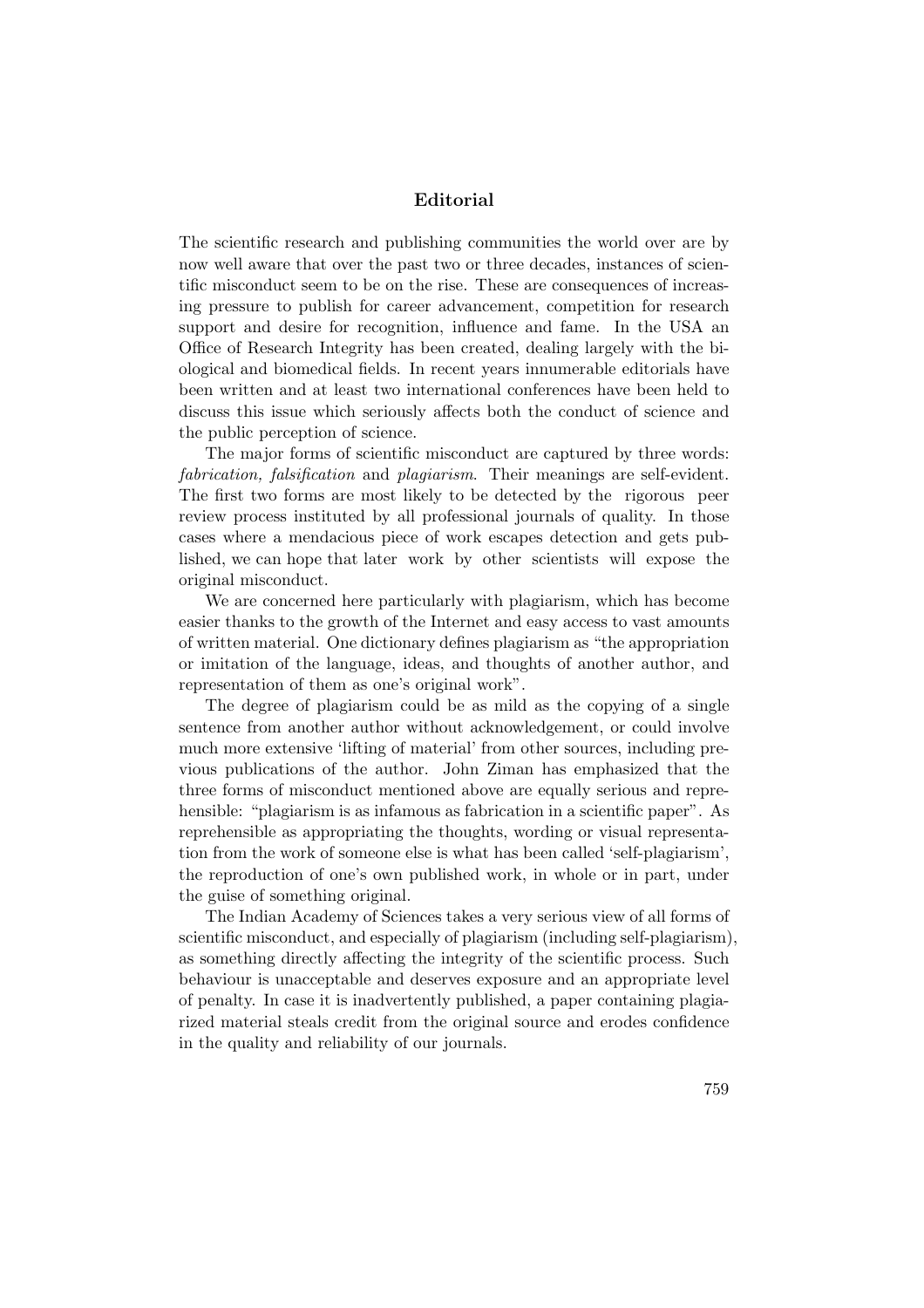## Editorial

The scientific research and publishing communities the world over are by now well aware that over the past two or three decades, instances of scientific misconduct seem to be on the rise. These are consequences of increasing pressure to publish for career advancement, competition for research support and desire for recognition, influence and fame. In the USA an Office of Research Integrity has been created, dealing largely with the biological and biomedical fields. In recent years innumerable editorials have been written and at least two international conferences have been held to discuss this issue which seriously affects both the conduct of science and the public perception of science.

The major forms of scientific misconduct are captured by three words: fabrication, falsification and plagiarism. Their meanings are self-evident. The first two forms are most likely to be detected by the rigorous peer review process instituted by all professional journals of quality. In those cases where a mendacious piece of work escapes detection and gets published, we can hope that later work by other scientists will expose the original misconduct.

We are concerned here particularly with plagiarism, which has become easier thanks to the growth of the Internet and easy access to vast amounts of written material. One dictionary defines plagiarism as "the appropriation or imitation of the language, ideas, and thoughts of another author, and representation of them as one's original work".

The degree of plagiarism could be as mild as the copying of a single sentence from another author without acknowledgement, or could involve much more extensive 'lifting of material' from other sources, including previous publications of the author. John Ziman has emphasized that the three forms of misconduct mentioned above are equally serious and reprehensible: "plagiarism is as infamous as fabrication in a scientific paper". As reprehensible as appropriating the thoughts, wording or visual representation from the work of someone else is what has been called 'self-plagiarism', the reproduction of one's own published work, in whole or in part, under the guise of something original.

The Indian Academy of Sciences takes a very serious view of all forms of scientific misconduct, and especially of plagiarism (including self-plagiarism), as something directly affecting the integrity of the scientific process. Such behaviour is unacceptable and deserves exposure and an appropriate level of penalty. In case it is inadvertently published, a paper containing plagiarized material steals credit from the original source and erodes confidence in the quality and reliability of our journals.